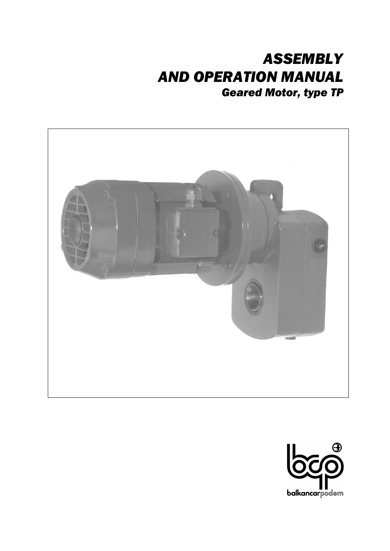# *ASSEMBLY AND OPERATION MANUAL Geared Motor, type TP*



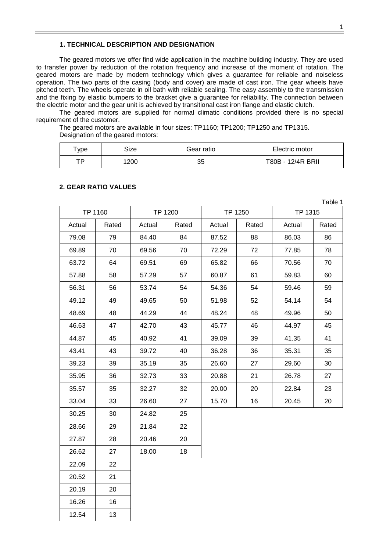#### **1. TECHNICAL DESCRIPTION AND DESIGNATION**

The geared motors we offer find wide application in the machine building industry. They are used to transfer power by reduction of the rotation frequency and increase of the moment of rotation. The geared motors are made by modern technology which gives a guarantee for reliable and noiseless operation. The two parts of the casing (body and cover) are made of cast iron. The gear wheels have pitched teeth. The wheels operate in oil bath with reliable sealing. The easy assembly to the transmission and the fixing by elastic bumpers to the bracket give a guarantee for reliability. The connection between the electric motor and the gear unit is achieved by transitional cast iron flange and elastic clutch.

The geared motors are supplied for normal climatic conditions provided there is no special requirement of the customer.

The geared motors are available in four sizes: TP1160; TP1200; TP1250 and TP1315. Designation of the geared motors:

| Type | Size | Gear ratio | Electric motor    |  |  |  |
|------|------|------------|-------------------|--|--|--|
| тD   | 1200 | 35         | T80B - 12/4R BRII |  |  |  |

#### **2. GEAR RATIO VALUES**

|        | Table 1 |        |         |        |         |         |       |  |  |  |
|--------|---------|--------|---------|--------|---------|---------|-------|--|--|--|
|        | TP 1160 |        | TP 1200 |        | TP 1250 | TP 1315 |       |  |  |  |
| Actual | Rated   | Actual | Rated   | Actual | Rated   | Actual  | Rated |  |  |  |
| 79.08  | 79      | 84.40  | 84      | 87.52  | 88      | 86.03   | 86    |  |  |  |
| 69.89  | 70      | 69.56  | 70      | 72.29  | 72      | 77.85   | 78    |  |  |  |
| 63.72  | 64      | 69.51  | 69      | 65.82  | 66      | 70.56   | 70    |  |  |  |
| 57.88  | 58      | 57.29  | 57      | 60.87  | 61      | 59.83   | 60    |  |  |  |
| 56.31  | 56      | 53.74  | 54      | 54.36  | 54      | 59.46   | 59    |  |  |  |
| 49.12  | 49      | 49.65  | 50      | 51.98  | 52      | 54.14   | 54    |  |  |  |
| 48.69  | 48      | 44.29  | 44      | 48.24  | 48      | 49.96   | 50    |  |  |  |
| 46.63  | 47      | 42.70  | 43      | 45.77  | 46      | 44.97   | 45    |  |  |  |
| 44.87  | 45      | 40.92  | 41      | 39.09  | 39      | 41.35   | 41    |  |  |  |
| 43.41  | 43      | 39.72  | 40      | 36.28  | 36      | 35.31   | 35    |  |  |  |
| 39.23  | 39      | 35.19  | 35      | 26.60  | 27      | 29.60   | 30    |  |  |  |
| 35.95  | 36      | 32.73  | 33      | 20.88  | 21      | 26.78   | 27    |  |  |  |
| 35.57  | 35      | 32.27  | 32      | 20.00  | 20      | 22.84   | 23    |  |  |  |
| 33.04  | 33      | 26.60  | 27      | 15.70  | 16      | 20.45   | 20    |  |  |  |
| 30.25  | 30      | 24.82  | 25      |        |         |         |       |  |  |  |
| 28.66  | 29      | 21.84  | 22      |        |         |         |       |  |  |  |
| 27.87  | 28      | 20.46  | 20      |        |         |         |       |  |  |  |
| 26.62  | 27      | 18.00  | 18      |        |         |         |       |  |  |  |
| 22.09  | 22      |        |         |        |         |         |       |  |  |  |
| 20.52  | 21      |        |         |        |         |         |       |  |  |  |
| 20.19  | 20      |        |         |        |         |         |       |  |  |  |
| 16.26  | 16      |        |         |        |         |         |       |  |  |  |
| 12.54  | 13      |        |         |        |         |         |       |  |  |  |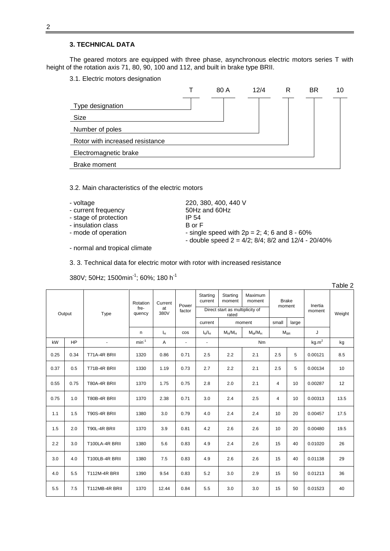#### **3. TECHNICAL DATA**

The geared motors are equipped with three phase, asynchronous electric motors series T with height of the rotation axis 71, 80, 90, 100 and 112, and built in brake type BRII.

3.1. Electric motors designation

|                                 | 80 A | 12/4 | R | BR. | 10 |
|---------------------------------|------|------|---|-----|----|
| Type designation                |      |      |   |     |    |
| Size                            |      |      |   |     |    |
| Number of poles                 |      |      |   |     |    |
| Rotor with increased resistance |      |      |   |     |    |
| Electromagnetic brake           |      |      |   |     |    |
| Brake moment                    |      |      |   |     |    |

3.2. Main characteristics of the electric motors

- 
- voltage 220, 380, 400, 440 V<br>- current frequency 50Hz and 60Hz - current frequency
- stage of protection IP 54
- insulation class B or F<br>- mode of operation example a single
- 

- normal and tropical climate

- single speed with  $2p = 2$ ; 4; 6 and 8 - 60%

- double speed  $2 = 4/2$ ;  $8/4$ ;  $8/2$  and  $12/4$  -  $20/40%$ 

3. 3. Technical data for electric motor with rotor with increased resistance

380V; 50Hz; 1500min<sup>-1</sup>; 60%; 180 h<sup>-1</sup>

|      |                |                      |                |                |            |                          |                                          |                   |                |                        |          | <b>Lavic</b> Z |
|------|----------------|----------------------|----------------|----------------|------------|--------------------------|------------------------------------------|-------------------|----------------|------------------------|----------|----------------|
|      |                |                      | Rotation       | Current        | Power      | Starting<br>current      | Starting<br>moment                       | Maximum<br>moment |                | <b>Brake</b><br>moment | Inertia  |                |
|      | Output<br>Type |                      | fre-<br>quency | at<br>380V     | factor     |                          | Direct start as multiplicity of<br>rated |                   |                |                        | moment   | Weight         |
|      |                |                      |                |                |            | current                  |                                          | moment            | small          | large                  |          |                |
|      |                |                      | n              | l <sub>H</sub> | <b>COS</b> | $I_N/I_H$                | $M_N/M_H$                                | $M_M/M_H$         |                | $M_{BR}$               | J        |                |
| kW   | <b>HP</b>      | $\blacksquare$       | $min^{-1}$     | Α              | ٠          | $\overline{\phantom{a}}$ |                                          | Nm                |                |                        | $kg.m^2$ | kg             |
| 0.25 | 0.34           | T71A-4R BRII         | 1320           | 0.86           | 0.71       | 2.5                      | 2.2                                      | 2.1               | 2.5            | 5                      | 0.00121  | 8.5            |
| 0.37 | 0.5            | T71B-4R BRII         | 1330           | 1.19           | 0.73       | 2.7                      | 2.2                                      | 2.1               | 2.5            | 5                      | 0.00134  | 10             |
| 0.55 | 0.75           | <b>T80A-4R BRII</b>  | 1370           | 1.75           | 0.75       | 2.8                      | 2.0                                      | 2.1               | $\overline{4}$ | 10                     | 0.00287  | 12             |
| 0.75 | 1.0            | <b>T80B-4R BRII</b>  | 1370           | 2.38           | 0.71       | 3.0                      | 2.4                                      | 2.5               | 4              | 10                     | 0.00313  | 13.5           |
| 1.1  | 1.5            | <b>T90S-4R BRII</b>  | 1380           | 3.0            | 0.79       | 4.0                      | 2.4                                      | 2.4               | 10             | 20                     | 0.00457  | 17.5           |
| 1.5  | 2.0            | <b>T90L-4R BRII</b>  | 1370           | 3.9            | 0.81       | 4.2                      | 2.6                                      | 2.6               | 10             | 20                     | 0.00480  | 19.5           |
| 2.2  | 3.0            | T100LA-4R BRII       | 1380           | 5.6            | 0.83       | 4.9                      | 2.4                                      | 2.6               | 15             | 40                     | 0.01020  | 26             |
| 3.0  | 4.0            | T100LB-4R BRII       | 1380           | 7.5            | 0.83       | 4.9                      | 2.6                                      | 2.6               | 15             | 40                     | 0.01138  | 29             |
| 4.0  | 5.5            | <b>T112M-4R BRII</b> | 1390           | 9.54           | 0.83       | 5.2                      | 3.0                                      | 2.9               | 15             | 50                     | 0.01213  | 36             |
| 5.5  | 7.5            | T112MB-4R BRII       | 1370           | 12.44          | 0.84       | 5.5                      | 3.0                                      | 3.0               | 15             | 50                     | 0.01523  | 40             |

Table 2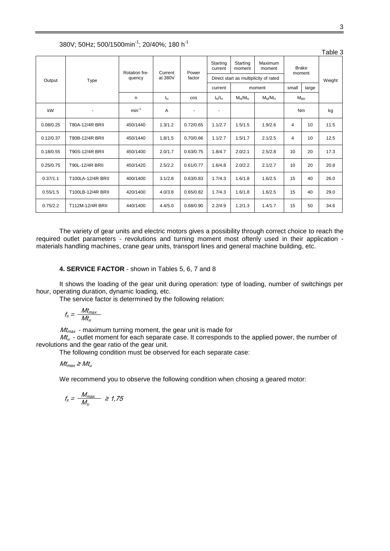|           |                   |               |         |                 |                     |                    |                                       |                        |        | Table 3 |
|-----------|-------------------|---------------|---------|-----------------|---------------------|--------------------|---------------------------------------|------------------------|--------|---------|
| Output    |                   | Rotation fre- | Current | Power<br>factor | Starting<br>current | Starting<br>moment | Maximum<br>moment                     | <b>Brake</b><br>moment |        |         |
|           | Type              | quency        | at 380V |                 |                     |                    | Direct start as multiplicity of rated |                        | Weight |         |
|           |                   |               |         |                 | current             |                    | moment                                | small                  | large  |         |
|           |                   | n.            | Iн.     | <b>COS</b>      | $I_N/I_H$           | $M_N/M_H$          | $M_M/M_H$                             | $M_{BR}$               |        |         |
| kW        |                   | $min^{-1}$    | A       |                 | -                   |                    |                                       | <b>Nm</b>              |        | kg      |
| 0.08/0.25 | T80A-12/4R BRII   | 450/1440      | 1.3/1.2 | 0.72/0.65       | 1.1/2.7             | 1.5/1.5            | 1.9/2.6                               | 4                      | 10     | 11.5    |
| 0.12/0.37 | T80B-12/4R BRII   | 450/1440      | 1.8/1.5 | 0.70/0.66       | 1.1/2.7             | 1.5/1.7            | 2.1/2.5                               | 4                      | 10     | 12.5    |
| 0.18/0.55 | T90S-12/4R BRII   | 450/1400      | 2.0/1.7 | 0.63/0.75       | 1.8/4.7             | 2.0/2.1            | 2.5/2.8                               | 10                     | 20     | 17.3    |
| 0.25/0.75 | T90L-12/4R BRII   | 450/1420      | 2.5/2.2 | 0.61/0.77       | 1.6/4.8             | 2.0/2.2            | 2.1/2.7                               | 10                     | 20     | 20.8    |
| 0.37/1.1  | T100LA-12/4R BRII | 400/1400      | 3.1/2.8 | 0.63/0.83       | 1.7/4.3             | 1.6/1.8            | 1.6/2.5                               | 15                     | 40     | 26.0    |
| 0.55/1.5  | T100LB-12/4R BRII | 420/1400      | 4.0/3.8 | 0.65/0.82       | 1.7/4.3             | 1.6/1.8            | 1.6/2.5                               | 15                     | 40     | 29.0    |
| 0.75/2.2  | T112M-12/4R BRII  | 440/1400      | 4.4/5.0 | 0.68/0.90       | 2.2/4.9             | 1.2/1.3            | 1.4/1.7                               | 15                     | 50     | 34.6    |

380V; 50Hz; 500/1500min-1 ; 20/40%; 180 h-1

The variety of gear units and electric motors gives a possibility through correct choice to reach the required outlet parameters - revolutions and turning moment most oftenly used in their application materials handling machines, crane gear units, transport lines and general machine building, etc.

#### **4. SERVICE FACTOR** - shown in Tables 5, 6, 7 and 8

It shows the loading of the gear unit during operation: type of loading, number of switchings per hour, operating duration, dynamic loading, etc.

The service factor is determined by the following relation:

$$
f_s = \frac{Mt_{max}}{Mt_u}
$$

 $Mt_{max}$  - maximum turning moment, the gear unit is made for

 $M_t$  - outlet moment for each separate case. It corresponds to the applied power, the number of revolutions and the gear ratio of the gear unit.

The following condition must be observed for each separate case:

 $Mt_{max} \geq Mt_u$ 

We recommend you to observe the following condition when chosing a geared motor:

$$
f_s = \frac{M_{max}}{M_u} \ge 1.75
$$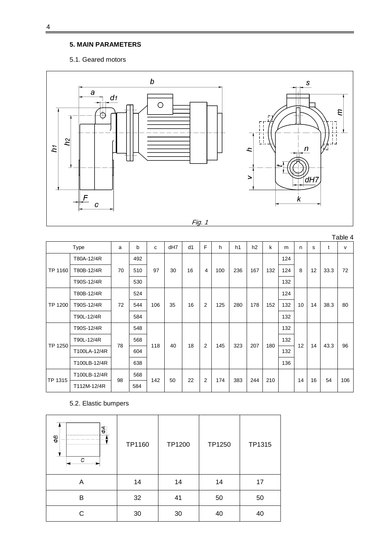# **5. MAIN PARAMETERS**

### 5.1. Geared motors



|         |              |              |           |     |     |    |                |     |     |     |     |     |    |    |      | Table 4      |  |
|---------|--------------|--------------|-----------|-----|-----|----|----------------|-----|-----|-----|-----|-----|----|----|------|--------------|--|
|         | <b>Type</b>  | a            | b         | C   | dH7 | d1 | F              | h   | h1  | h2  | k   | m   | n  | s  | t    | $\mathsf{v}$ |  |
|         | T80A-12/4R   |              | 492       |     |     |    |                |     |     |     |     | 124 |    |    |      |              |  |
| TP 1160 | T80B-12/4R   | 70           | 510<br>97 |     | 30  | 16 | 4              | 100 | 236 | 167 | 132 | 124 | 8  | 12 | 33.3 | 72           |  |
|         | T90S-12/4R   |              | 530       |     |     |    |                |     |     |     |     | 132 |    |    |      |              |  |
|         | T80B-12/4R   | 72           | 524       |     |     |    |                |     |     |     |     | 124 |    |    |      |              |  |
| TP 1200 | T90S-12/4R   |              | 544       | 106 | 35  | 16 | $\overline{2}$ | 125 | 280 | 178 | 152 | 132 | 10 | 14 | 38.3 | 80           |  |
|         | T90L-12/4R   |              | 584       |     |     |    |                |     |     |     |     | 132 |    |    |      |              |  |
|         | T90S-12/4R   |              | 548       |     |     |    |                |     |     |     | 132 |     |    |    |      |              |  |
|         | T90L-12/4R   | 78           | 568       | 118 | 40  |    |                |     |     |     | 180 | 132 | 12 | 14 |      | 96           |  |
| TP 1250 | T100LA-12/4R |              | 604       |     |     | 18 | $\overline{2}$ | 145 | 323 | 207 |     | 132 |    |    | 43.3 |              |  |
|         | T100LB-12/4R |              | 638       |     |     |    |                |     |     |     |     | 136 |    |    |      |              |  |
| TP 1315 |              | T100LB-12/4R |           | 568 |     |    |                |     |     |     |     |     |    |    |      |              |  |
|         | T112M-12/4R  | 98           | 584       | 142 | 50  | 22 | 2              | 174 | 383 | 244 | 210 |     | 14 | 16 | 54   | 106          |  |

5.2. Elastic bumpers

| ΦА<br>θØ<br>С | TP1160 | TP1200 | TP1250 | TP1315 |
|---------------|--------|--------|--------|--------|
| Α             | 14     | 14     | 14     | 17     |
| В             | 32     | 41     | 50     | 50     |
| C             | 30     | 30     | 40     | 40     |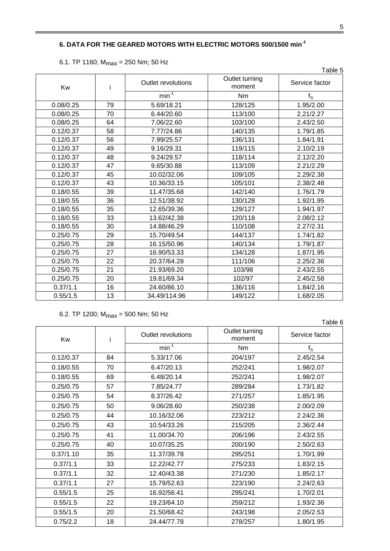#### **6. DATA FOR THE GEARED MOTORS WITH ELECTRIC MOTORS 500/1500 min-1**

| 6.1. TP 1160; $M_{max}$ = 250 Nm; 50 Hz |  |
|-----------------------------------------|--|
|-----------------------------------------|--|

|           |    |                    |                          | Table 5        |
|-----------|----|--------------------|--------------------------|----------------|
| Kw        | j. | Outlet revolutions | Outlet turning<br>moment | Service factor |
|           |    | $min^{-1}$         | N <sub>m</sub>           | $f_{\rm S}$    |
| 0.08/0.25 | 79 | 5.69/18.21         | 128/125                  | 1.95/2.00      |
| 0.08/0.25 | 70 | 6.44/20.60         | 113/100                  | 2.21/2.27      |
| 0.08/0.25 | 64 | 7.06/22.60         | 103/100                  | 2.43/2.50      |
| 0.12/0.37 | 58 | 7.77/24.86         | 140/135                  | 1.79/1.85      |
| 0.12/0.37 | 56 | 7.99/25.57         | 136/131                  | 1.84/1.91      |
| 0.12/0.37 | 49 | 9.16/29.31         | 119/115                  | 2.10/2.19      |
| 0.12/0.37 | 48 | 9.24/29.57         | 118/114                  | 2.12/2.20      |
| 0.12/0.37 | 47 | 9.65/30.88         | 113/109                  | 2.21/2.29      |
| 0.12/0.37 | 45 | 10.02/32.06        | 109/105                  | 2.29/2.38      |
| 0.12/0.37 | 43 | 10.36/33.15        | 105/101                  | 2.38/2.48      |
| 0.18/0.55 | 39 | 11.47/35.68        | 142/140                  | 1.76/1.79      |
| 0.18/0.55 | 36 | 12.51/38.92        | 130/128                  | 1.92/1.95      |
| 0.18/0.55 | 35 | 12.65/39.36        | 129/127                  | 1.94/1.97      |
| 0.18/0.55 | 33 | 13.62/42.38        | 120/118                  | 2.08/2.12      |
| 0.18/0.55 | 30 | 14.88/46.29        | 110/108                  | 2.27/2.31      |
| 0.25/0.75 | 29 | 15.70/49.54        | 144/137                  | 1.74/1.82      |
| 0.25/0.75 | 28 | 16.15/50.96        | 140/134                  | 1.79/1.87      |
| 0.25/0.75 | 27 | 16.90/53.33        | 134/128                  | 1.87/1.95      |
| 0.25/0.75 | 22 | 20.37/64.28        | 111/106                  | 2.25/2.36      |
| 0.25/0.75 | 21 | 21.93/69.20        | 103/98                   | 2.43/2.55      |
| 0.25/0.75 | 20 | 19.81/69.34        | 102/97                   | 2.45/2.58      |
| 0.37/1.1  | 16 | 24.60/86.10        | 136/116                  | 1.84/2.16      |
| 0.55/1.5  | 13 | 34.49/114.96       | 149/122                  | 1.68/2.05      |

6.2. TP 1200;  $M_{max} = 500$  Nm; 50 Hz

Table 6 Kw i Outlet revolutions <br>
Outlet turning<br>
moment Service factor min $^{-1}$  and  $\mathsf{Nm}$  and  $\mathsf{Nm}$  and  $\mathsf{f}_\mathsf{S}$ 0.12/0.37 84 5.33/17.06 204/197 2.45/2.54 0.18/0.55 70 6.47/20.13 252/241 1.98/2.07 0.18/0.55 69 6.48/20.14 252/241 1.98/2.07 0.25/0.75 57 7.85/24.77 289/284 1.73/1.82  $0.25/0.75$  | 54 | 8.37/26.42 | 271/257 | 1.85/1.95  $0.25/0.75$  50 9.06/28.60 250/238 2.00/2.09 0.25/0.75 44 10.16/32.06 223/212 2.24/2.36 0.25/0.75 43 10.54/33.26 215/205 2.36/2.44 0.25/0.75 41 11.00/34.70 206/196 2.43/2.55 0.25/0.75 40 10.07/35.25 200/190 2.50/2.63 0.37/1.10 | 35 | 11.37/39.78 | 295/251 | 1.70/1.99  $0.37/1.1$  | 33 | 12.22/42.77 | 275/233 | 1.83/2.15 0.37/1.1 | 32 | 12.40/43.38 | 271/230 | 1.85/2.17 0.37/1.1 27 15.79/52.63 223/190 2.24/2.63 0.55/1.5 25 16.92/56.41 295/241 1.70/2.01 0.55/1.5 22 19.23/64.10 259/212 1.93/2.36 0.55/1.5 20 21.50/68.42 243/198 2.05/2.53 0.75/2.2 18 24.44/77.78 278/257 1.80/1.95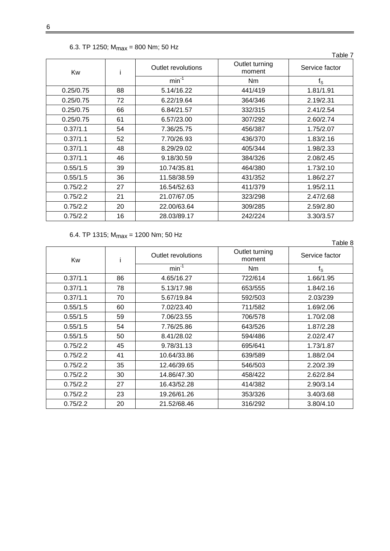| 6.3. TP 1250; $M_{max}$ = 800 Nm; 50 Hz |  |              |  |  |  |  |  |  |
|-----------------------------------------|--|--------------|--|--|--|--|--|--|
| Kw                                      |  | Outlet revol |  |  |  |  |  |  |
|                                         |  |              |  |  |  |  |  |  |

6

 $\mathbf{r}$ 

| Kw        |    | Outlet revolutions | Outlet turning<br>moment | Service factor |
|-----------|----|--------------------|--------------------------|----------------|
|           |    | $min-1$            | Nm                       | $f_{\rm S}$    |
| 0.25/0.75 | 88 | 5.14/16.22         | 441/419                  | 1.81/1.91      |
| 0.25/0.75 | 72 | 6.22/19.64         | 364/346                  | 2.19/2.31      |
| 0.25/0.75 | 66 | 6.84/21.57         | 332/315                  | 2.41/2.54      |
| 0.25/0.75 | 61 | 6.57/23.00         | 307/292                  | 2.60/2.74      |
| 0.37/1.1  | 54 | 7.36/25.75         | 456/387                  | 1.75/2.07      |
| 0.37/1.1  | 52 | 7.70/26.93         | 436/370                  | 1.83/2.16      |
| 0.37/1.1  | 48 | 8.29/29.02         | 405/344                  | 1.98/2.33      |
| 0.37/1.1  | 46 | 9.18/30.59         | 384/326                  | 2.08/2.45      |
| 0.55/1.5  | 39 | 10.74/35.81        | 464/380                  | 1.73/2.10      |
| 0.55/1.5  | 36 | 11.58/38.59        | 431/352                  | 1.86/2.27      |
| 0.75/2.2  | 27 | 16.54/52.63        | 411/379                  | 1.95/2.11      |
| 0.75/2.2  | 21 | 21.07/67.05        | 323/298                  | 2.47/2.68      |
| 0.75/2.2  | 20 | 22.00/63.64        | 309/285                  | 2.59/2.80      |
| 0.75/2.2  | 16 | 28.03/89.17        | 242/224                  | 3.30/3.57      |

Table 7

# 6.4. TP 1315;  $M_{max}$  = 1200 Nm; 50 Hz

|          |    |                    |                          | Table 8        |
|----------|----|--------------------|--------------------------|----------------|
| Kw       | i  | Outlet revolutions | Outlet turning<br>moment | Service factor |
|          |    | $min-1$            | N <sub>m</sub>           | $f_{\rm S}$    |
| 0.37/1.1 | 86 | 4.65/16.27         | 722/614                  | 1.66/1.95      |
| 0.37/1.1 | 78 | 5.13/17.98         | 653/555                  | 1.84/2.16      |
| 0.37/1.1 | 70 | 5.67/19.84         | 592/503                  | 2.03/239       |
| 0.55/1.5 | 60 | 7.02/23.40         | 711/582                  | 1.69/2.06      |
| 0.55/1.5 | 59 | 7.06/23.55         | 706/578                  | 1.70/2.08      |
| 0.55/1.5 | 54 | 7.76/25.86         | 643/526                  | 1.87/2.28      |
| 0.55/1.5 | 50 | 8.41/28.02         | 594/486                  | 2.02/2.47      |
| 0.75/2.2 | 45 | 9.78/31.13         | 695/641                  | 1.73/1.87      |
| 0.75/2.2 | 41 | 10.64/33.86        | 639/589                  | 1.88/2.04      |
| 0.75/2.2 | 35 | 12.46/39.65        | 546/503                  | 2.20/2.39      |
| 0.75/2.2 | 30 | 14.86/47.30        | 458/422                  | 2.62/2.84      |
| 0.75/2.2 | 27 | 16.43/52.28        | 414/382                  | 2.90/3.14      |
| 0.75/2.2 | 23 | 19.26/61.26        | 353/326                  | 3.40/3.68      |
| 0.75/2.2 | 20 | 21.52/68.46        | 316/292                  | 3.80/4.10      |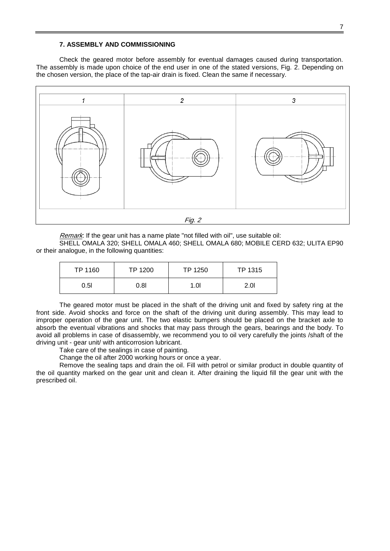#### **7. ASSEMBLY AND COMMISSIONING**

Check the geared motor before assembly for eventual damages caused during transportation. The assembly is made upon choice of the end user in one of the stated versions, Fig. 2. Depending on the chosen version, the place of the tap-air drain is fixed. Clean the same if necessary.



Remark: If the gear unit has a name plate "not filled with oil", use suitable oil:

SHELL OMALA 320; SHELL OMALA 460; SHELL OMALA 680; MOBILE CERD 632; ULITA EP90 or their analogue, in the following quantities:

| TP 1160 | TP 1200 | TP 1250 | TP 1315 |
|---------|---------|---------|---------|
| 0.5I    | 0.8I    | 1.OI    | 2.0I    |

The geared motor must be placed in the shaft of the driving unit and fixed by safety ring at the front side. Avoid shocks and force on the shaft of the driving unit during assembly. This may lead to improper operation of the gear unit. The two elastic bumpers should be placed on the bracket axle to absorb the eventual vibrations and shocks that may pass through the gears, bearings and the body. To avoid all problems in case of disassembly, we recommend you to oil very carefully the joints /shaft of the driving unit - gear unit/ with anticorrosion lubricant.

Take care of the sealings in case of painting.

Change the oil after 2000 working hours or once a year.

Remove the sealing taps and drain the oil. Fill with petrol or similar product in double quantity of the oil quantity marked on the gear unit and clean it. After draining the liquid fill the gear unit with the prescribed oil.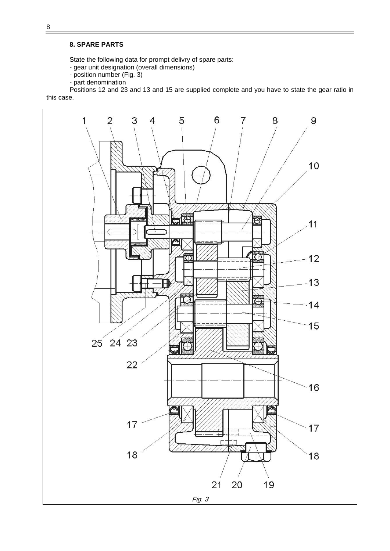#### **8. SPARE PARTS**

State the following data for prompt delivry of spare parts:

- gear unit designation (overall dimensions)
- position number (Fig. 3)
- part denomination

Positions 12 and 23 and 13 and 15 are supplied complete and you have to state the gear ratio in this case.

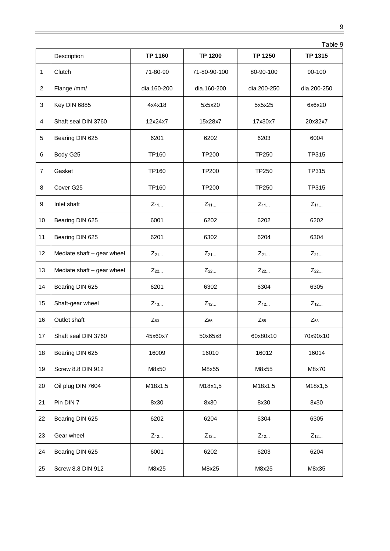|                 |                            |                |                | Table 9      |                |  |
|-----------------|----------------------------|----------------|----------------|--------------|----------------|--|
|                 | Description                | TP 1160        | <b>TP 1200</b> | TP 1250      | <b>TP 1315</b> |  |
| 1               | Clutch                     | 71-80-90       | 71-80-90-100   | 80-90-100    | 90-100         |  |
| 2               | Flange /mm/                | dia.160-200    | dia.160-200    | dia.200-250  | dia.200-250    |  |
| 3               | Key DIN 6885               | 4x4x18         | 5x5x20         | 5x5x25       | 6x6x20         |  |
| 4               | Shaft seal DIN 3760        | 12x24x7        | 15x28x7        | 17x30x7      | 20x32x7        |  |
| 5               | Bearing DIN 625            | 6201           | 6202           | 6203         | 6004           |  |
| 6               | Body G25                   | TP160          | <b>TP200</b>   | <b>TP250</b> | TP315          |  |
| $\overline{7}$  | Gasket                     | TP160          | <b>TP200</b>   | <b>TP250</b> | TP315          |  |
| 8               | Cover G25                  | TP160          | <b>TP200</b>   | <b>TP250</b> | TP315          |  |
| 9               | Inlet shaft                | $Z_{11}$       | $Z_{11}$       | $Z_{11}$     | $Z_{11}$       |  |
| 10              | Bearing DIN 625            | 6001           | 6202           | 6202         | 6202           |  |
| 11              | Bearing DIN 625            | 6201           | 6302           | 6204         | 6304           |  |
| 12              | Mediate shaft - gear wheel | $Z_{21}$       | $Z_{21}$       | $Z_{21}$     | $Z_{21}$       |  |
| 13              | Mediate shaft - gear wheel | $Z_{22}$       | $Z_{22}$       | $Z_{22}$     | $Z_{22}$       |  |
| 14              | Bearing DIN 625            | 6201           | 6302           | 6304         | 6305           |  |
| 15              | Shaft-gear wheel           | $Z_{13}$       | $Z_{12}$       | $Z_{12}$     | $Z_{12}$       |  |
| 16              | Outlet shaft               | $Z_{63}$       | $Z_{55}$       | $Z_{55}$     | $Z_{53}$       |  |
| 17 <sup>1</sup> | Shaft seal DIN 3760        | 45x60x7        | 50x65x8        | 60x80x10     | 70x90x10       |  |
| 18              | Bearing DIN 625            | 16009          | 16010          | 16012        | 16014          |  |
| 19              | Screw 8.8 DIN 912          | M8x50          | M8x55          | M8x55        | M8x70          |  |
| 20              | Oil plug DIN 7604          | M18x1,5        | M18x1,5        | M18x1,5      | M18x1,5        |  |
| 21              | Pin DIN 7                  | 8x30           | 8x30           | 8x30         | 8x30           |  |
| 22              | Bearing DIN 625            | 6202           | 6204           | 6304         | 6305           |  |
| 23              | Gear wheel                 | $Z_{12\ldots}$ | $Z_{12\ldots}$ | $Z_{12}$     | $Z_{12}$       |  |
| 24              | Bearing DIN 625            | 6001           | 6202           | 6203         | 6204           |  |
| 25              | Screw 8,8 DIN 912          | M8x25          | M8x25          | M8x25        | M8x35          |  |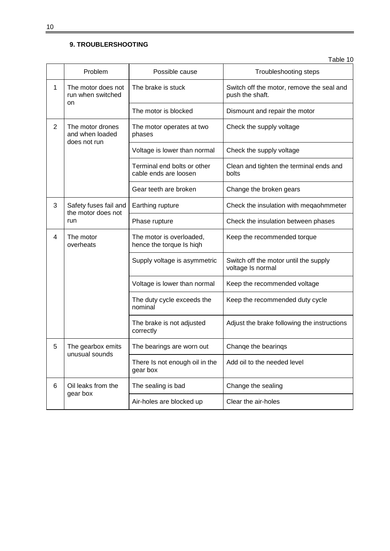# **9. TROUBLERSHOOTING**

Table 10

|   | Problem                                             | Possible cause                                       | Troubleshooting steps                                        |  |  |
|---|-----------------------------------------------------|------------------------------------------------------|--------------------------------------------------------------|--|--|
| 1 | The motor does not<br>run when switched             | The brake is stuck                                   | Switch off the motor, remove the seal and<br>push the shaft. |  |  |
|   | on                                                  | The motor is blocked                                 | Dismount and repair the motor                                |  |  |
| 2 | The motor drones<br>and when loaded<br>does not run | The motor operates at two<br>phases                  | Check the supply voltage                                     |  |  |
|   |                                                     | Voltage is lower than normal                         | Check the supply voltage                                     |  |  |
|   |                                                     | Terminal end bolts or other<br>cable ends are loosen | Clean and tighten the terminal ends and<br>bolts             |  |  |
|   |                                                     | Gear teeth are broken                                | Change the broken gears                                      |  |  |
| 3 | Safety fuses fail and<br>the motor does not         | Earthing rupture                                     | Check the insulation with megaohmmeter                       |  |  |
|   | run                                                 | Phase rupture                                        | Check the insulation between phases                          |  |  |
| 4 | The motor<br>overheats                              | The motor is overloaded,<br>hence the torque Is high | Keep the recommended torque                                  |  |  |
|   |                                                     | Supply voltage is asymmetric                         | Switch off the motor until the supply<br>voltage Is normal   |  |  |
|   |                                                     | Voltage is lower than normal                         | Keep the recommended voltage                                 |  |  |
|   |                                                     | The duty cycle exceeds the<br>nominal                | Keep the recommended duty cycle                              |  |  |
|   |                                                     | The brake is not adjusted<br>correctly               | Adjust the brake following the instructions                  |  |  |
| 5 | The gearbox emits                                   | The bearings are worn out                            | Change the bearings                                          |  |  |
|   | unusual sounds                                      | There Is not enough oil in the<br>gear box           | Add oil to the needed level                                  |  |  |
| 6 | Oil leaks from the<br>gear box                      | The sealing is bad                                   | Change the sealing                                           |  |  |
|   |                                                     | Air-holes are blocked up                             | Clear the air-holes                                          |  |  |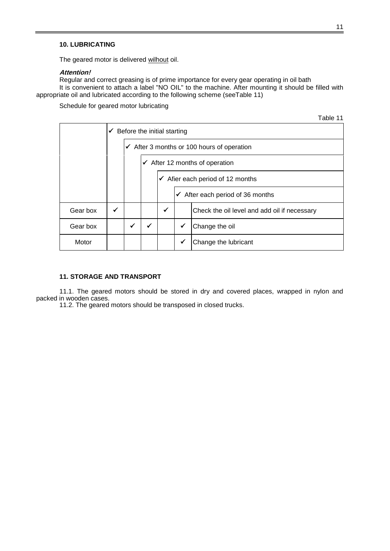#### **10. LUBRICATING**

The geared motor is delivered wilhout oil.

#### **Attention!**

Regular and correct greasing is of prime importance for every gear operating in oil bath It is convenient to attach a label "NO OIL" to the machine. After mounting it should be filled with appropriate oil and lubricated according to the following scheme (seeTable 11)

Schedule for geared motor lubricating

|          |                                          |                                                       |                                           |                                             |   |                                              | Table 11 |
|----------|------------------------------------------|-------------------------------------------------------|-------------------------------------------|---------------------------------------------|---|----------------------------------------------|----------|
|          | $\checkmark$ Before the initial starting |                                                       |                                           |                                             |   |                                              |          |
|          |                                          | $\checkmark$ After 3 months or 100 hours of operation |                                           |                                             |   |                                              |          |
|          |                                          |                                                       | $\checkmark$ After 12 months of operation |                                             |   |                                              |          |
|          |                                          |                                                       |                                           | $\checkmark$ Afier each period of 12 months |   |                                              |          |
|          |                                          |                                                       |                                           | $\checkmark$ After each period of 36 months |   |                                              |          |
| Gear box | ✓                                        |                                                       |                                           | $\checkmark$                                |   | Check the oil level and add oil if necessary |          |
| Gear box |                                          | $\checkmark$                                          |                                           |                                             | ✔ | Change the oil                               |          |
| Motor    |                                          |                                                       |                                           |                                             | ✓ | Change the lubricant                         |          |

### **11. STORAGE AND TRANSPORT**

11.1. The geared motors should be stored in dry and covered places, wrapped in nylon and packed in wooden cases.

11.2. The geared motors should be transposed in closed trucks.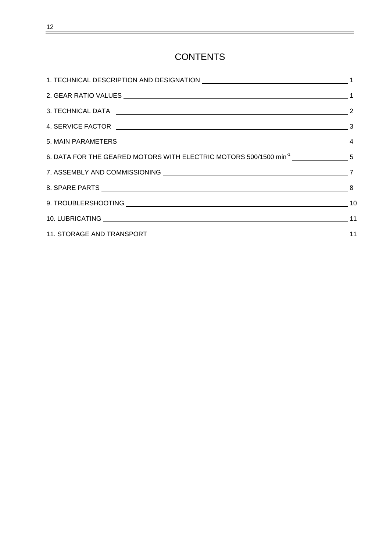# **CONTENTS**

| 6. DATA FOR THE GEARED MOTORS WITH ELECTRIC MOTORS 500/1500 min <sup>-1</sup> ________________5 |  |
|-------------------------------------------------------------------------------------------------|--|
|                                                                                                 |  |
|                                                                                                 |  |
|                                                                                                 |  |
|                                                                                                 |  |
|                                                                                                 |  |
|                                                                                                 |  |